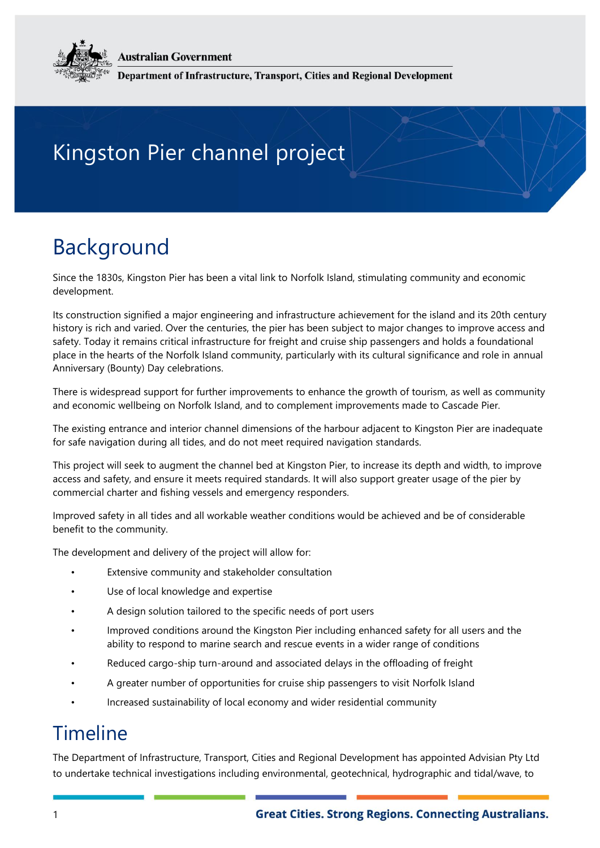**Australian Government** 

Department of Infrastructure, Transport, Cities and Regional Development

## Kingston Pier channel project

## Background

Since the 1830s, Kingston Pier has been a vital link to Norfolk Island, stimulating community and economic development.

Its construction signified a major engineering and infrastructure achievement for the island and its 20th century history is rich and varied. Over the centuries, the pier has been subject to major changes to improve access and safety. Today it remains critical infrastructure for freight and cruise ship passengers and holds a foundational place in the hearts of the Norfolk Island community, particularly with its cultural significance and role in annual Anniversary (Bounty) Day celebrations.

There is widespread support for further improvements to enhance the growth of tourism, as well as community and economic wellbeing on Norfolk Island, and to complement improvements made to Cascade Pier.

The existing entrance and interior channel dimensions of the harbour adjacent to Kingston Pier are inadequate for safe navigation during all tides, and do not meet required navigation standards.

This project will seek to augment the channel bed at Kingston Pier, to increase its depth and width, to improve access and safety, and ensure it meets required standards. It will also support greater usage of the pier by commercial charter and fishing vessels and emergency responders.

Improved safety in all tides and all workable weather conditions would be achieved and be of considerable benefit to the community.

The development and delivery of the project will allow for:

- Extensive community and stakeholder consultation
- Use of local knowledge and expertise
- A design solution tailored to the specific needs of port users
- Improved conditions around the Kingston Pier including enhanced safety for all users and the ability to respond to marine search and rescue events in a wider range of conditions
- Reduced cargo-ship turn-around and associated delays in the offloading of freight
- A greater number of opportunities for cruise ship passengers to visit Norfolk Island
- Increased sustainability of local economy and wider residential community

## Timeline

The Department of Infrastructure, Transport, Cities and Regional Development has appointed Advisian Pty Ltd to undertake technical investigations including environmental, geotechnical, hydrographic and tidal/wave, to